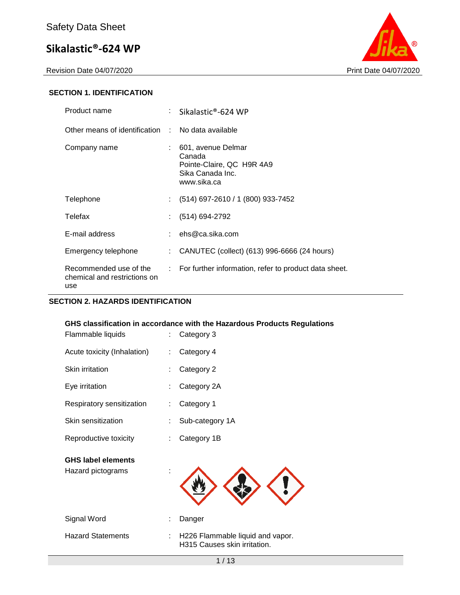Revision Date 04/07/2020 Print Date 04/07/2020



#### **SECTION 1. IDENTIFICATION**

| Product name                                                  |                             | : Sikalastic®-624 WP                                                                         |
|---------------------------------------------------------------|-----------------------------|----------------------------------------------------------------------------------------------|
| Other means of identification : No data available             |                             |                                                                                              |
| Company name                                                  |                             | 601, avenue Delmar<br>Canada<br>Pointe-Claire, QC H9R 4A9<br>Sika Canada Inc.<br>www.sika.ca |
| Telephone                                                     | $\mathcal{L}^{\mathcal{L}}$ | (514) 697-2610 / 1 (800) 933-7452                                                            |
| Telefax                                                       |                             | (514) 694-2792                                                                               |
| E-mail address                                                |                             | $:$ ehs@ca.sika.com                                                                          |
| Emergency telephone                                           |                             | CANUTEC (collect) (613) 996-6666 (24 hours)                                                  |
| Recommended use of the<br>chemical and restrictions on<br>use | t in                        | For further information, refer to product data sheet.                                        |

#### **SECTION 2. HAZARDS IDENTIFICATION**

# 1 / 13 **GHS classification in accordance with the Hazardous Products Regulations** Flammable liquids : Category 3 Acute toxicity (Inhalation) : Category 4 Skin irritation : Category 2 Eye irritation : Category 2A Respiratory sensitization : Category 1 Skin sensitization : Sub-category 1A Reproductive toxicity : Category 1B **GHS label elements** Hazard pictograms : Signal Word : Danger Hazard Statements : H226 Flammable liquid and vapor. H315 Causes skin irritation.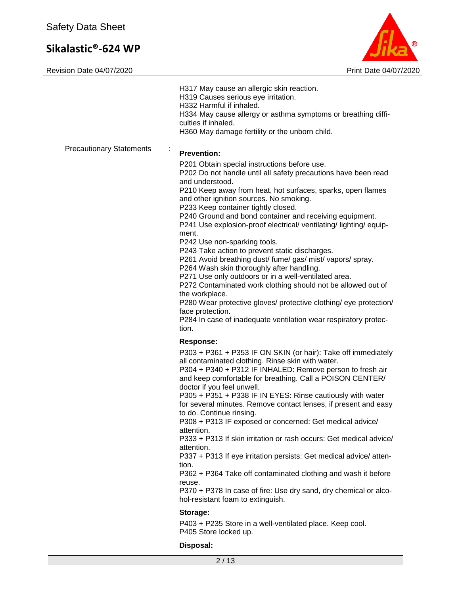

|                                 | H317 May cause an allergic skin reaction.<br>H319 Causes serious eye irritation.<br>H332 Harmful if inhaled.<br>H334 May cause allergy or asthma symptoms or breathing diffi-<br>culties if inhaled.<br>H360 May damage fertility or the unborn child.                                                                                                                                                                                                                                                                                                                                                                                                                                                                                                                                                                                                                                                                                                              |
|---------------------------------|---------------------------------------------------------------------------------------------------------------------------------------------------------------------------------------------------------------------------------------------------------------------------------------------------------------------------------------------------------------------------------------------------------------------------------------------------------------------------------------------------------------------------------------------------------------------------------------------------------------------------------------------------------------------------------------------------------------------------------------------------------------------------------------------------------------------------------------------------------------------------------------------------------------------------------------------------------------------|
| <b>Precautionary Statements</b> | ÷<br><b>Prevention:</b><br>P201 Obtain special instructions before use.<br>P202 Do not handle until all safety precautions have been read<br>and understood.<br>P210 Keep away from heat, hot surfaces, sparks, open flames<br>and other ignition sources. No smoking.<br>P233 Keep container tightly closed.<br>P240 Ground and bond container and receiving equipment.<br>P241 Use explosion-proof electrical/ ventilating/ lighting/ equip-<br>ment.<br>P242 Use non-sparking tools.<br>P243 Take action to prevent static discharges.<br>P261 Avoid breathing dust/ fume/ gas/ mist/ vapors/ spray.<br>P264 Wash skin thoroughly after handling.<br>P271 Use only outdoors or in a well-ventilated area.<br>P272 Contaminated work clothing should not be allowed out of<br>the workplace.<br>P280 Wear protective gloves/ protective clothing/ eye protection/<br>face protection.<br>P284 In case of inadequate ventilation wear respiratory protec-<br>tion. |
|                                 | <b>Response:</b><br>P303 + P361 + P353 IF ON SKIN (or hair): Take off immediately<br>all contaminated clothing. Rinse skin with water.<br>P304 + P340 + P312 IF INHALED: Remove person to fresh air<br>and keep comfortable for breathing. Call a POISON CENTER/<br>doctor if you feel unwell.<br>P305 + P351 + P338 IF IN EYES: Rinse cautiously with water<br>for several minutes. Remove contact lenses, if present and easy<br>to do. Continue rinsing.<br>P308 + P313 IF exposed or concerned: Get medical advice/<br>attention.<br>P333 + P313 If skin irritation or rash occurs: Get medical advice/<br>attention.<br>P337 + P313 If eye irritation persists: Get medical advice/atten-<br>tion.<br>P362 + P364 Take off contaminated clothing and wash it before<br>reuse.<br>P370 + P378 In case of fire: Use dry sand, dry chemical or alco-<br>hol-resistant foam to extinguish.                                                                         |
|                                 | Storage:<br>P403 + P235 Store in a well-ventilated place. Keep cool.<br>P405 Store locked up.                                                                                                                                                                                                                                                                                                                                                                                                                                                                                                                                                                                                                                                                                                                                                                                                                                                                       |
|                                 | Disposal:<br>2/13                                                                                                                                                                                                                                                                                                                                                                                                                                                                                                                                                                                                                                                                                                                                                                                                                                                                                                                                                   |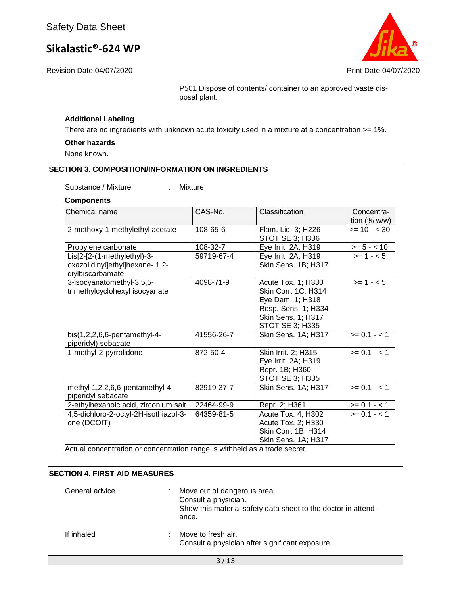Revision Date 04/07/2020 Print Date 04/07/2020

P501 Dispose of contents/ container to an approved waste disposal plant.

#### **Additional Labeling**

There are no ingredients with unknown acute toxicity used in a mixture at a concentration >= 1%.

#### **Other hazards**

None known.

#### **SECTION 3. COMPOSITION/INFORMATION ON INGREDIENTS**

Substance / Mixture : Mixture

#### **Components**

| Chemical name                                                                      | CAS-No.    | Classification                                                                                                                | Concentra-<br>tion $(% w/w)$ |
|------------------------------------------------------------------------------------|------------|-------------------------------------------------------------------------------------------------------------------------------|------------------------------|
| 2-methoxy-1-methylethyl acetate                                                    | 108-65-6   | Flam. Liq. 3; H226<br><b>STOT SE 3; H336</b>                                                                                  | $>= 10 - 30$                 |
| Propylene carbonate                                                                | 108-32-7   | Eye Irrit. 2A; H319                                                                                                           | $>= 5 - < 10$                |
| bis[2-[2-(1-methylethyl)-3-<br>oxazolidinyl]ethyl]hexane- 1,2-<br>diylbiscarbamate | 59719-67-4 | Eye Irrit. 2A; H319<br>Skin Sens. 1B; H317                                                                                    | $>= 1 - 5$                   |
| 3-isocyanatomethyl-3,5,5-<br>trimethylcyclohexyl isocyanate                        | 4098-71-9  | Acute Tox. 1; H330<br>Skin Corr. 1C; H314<br>Eye Dam. 1; H318<br>Resp. Sens. 1; H334<br>Skin Sens. 1; H317<br>STOT SE 3; H335 | $>= 1 - 5$                   |
| bis(1,2,2,6,6-pentamethyl-4-<br>piperidyl) sebacate                                | 41556-26-7 | Skin Sens. 1A; H317                                                                                                           | $>= 0.1 - 1$                 |
| 1-methyl-2-pyrrolidone                                                             | 872-50-4   | Skin Irrit. 2; H315<br>Eye Irrit. 2A; H319<br>Repr. 1B; H360<br>STOT SE 3; H335                                               | $>= 0.1 - 1.1$               |
| methyl 1,2,2,6,6-pentamethyl-4-<br>piperidyl sebacate                              | 82919-37-7 | Skin Sens. 1A; H317                                                                                                           | $>= 0.1 - 1.1$               |
| 2-ethylhexanoic acid, zirconium salt                                               | 22464-99-9 | Repr. 2; H361                                                                                                                 | $>= 0.1 - 1$                 |
| 4,5-dichloro-2-octyl-2H-isothiazol-3-<br>one (DCOIT)                               | 64359-81-5 | Acute Tox. 4; H302<br>Acute Tox. 2; H330<br>Skin Corr. 1B; H314<br>Skin Sens. 1A; H317                                        | $>= 0.1 - 1.1$               |

Actual concentration or concentration range is withheld as a trade secret

#### **SECTION 4. FIRST AID MEASURES**

| General advice | Move out of dangerous area.<br>Consult a physician.<br>Show this material safety data sheet to the doctor in attend-<br>ance. |
|----------------|-------------------------------------------------------------------------------------------------------------------------------|
| If inhaled     | Move to fresh air.<br>Consult a physician after significant exposure.                                                         |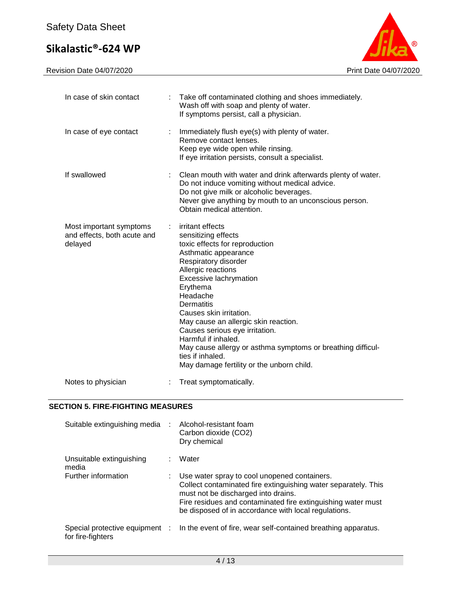

| In case of skin contact                                           |   | Take off contaminated clothing and shoes immediately.<br>Wash off with soap and plenty of water.<br>If symptoms persist, call a physician.                                                                                                                                                                                                                                                                                                                                         |
|-------------------------------------------------------------------|---|------------------------------------------------------------------------------------------------------------------------------------------------------------------------------------------------------------------------------------------------------------------------------------------------------------------------------------------------------------------------------------------------------------------------------------------------------------------------------------|
| In case of eye contact                                            | ÷ | Immediately flush eye(s) with plenty of water.<br>Remove contact lenses.<br>Keep eye wide open while rinsing.<br>If eye irritation persists, consult a specialist.                                                                                                                                                                                                                                                                                                                 |
| If swallowed                                                      |   | Clean mouth with water and drink afterwards plenty of water.<br>Do not induce vomiting without medical advice.<br>Do not give milk or alcoholic beverages.<br>Never give anything by mouth to an unconscious person.<br>Obtain medical attention.                                                                                                                                                                                                                                  |
| Most important symptoms<br>and effects, both acute and<br>delayed |   | irritant effects<br>sensitizing effects<br>toxic effects for reproduction<br>Asthmatic appearance<br>Respiratory disorder<br>Allergic reactions<br>Excessive lachrymation<br>Erythema<br>Headache<br><b>Dermatitis</b><br>Causes skin irritation.<br>May cause an allergic skin reaction.<br>Causes serious eye irritation.<br>Harmful if inhaled.<br>May cause allergy or asthma symptoms or breathing difficul-<br>ties if inhaled.<br>May damage fertility or the unborn child. |
| Notes to physician                                                |   | Treat symptomatically.                                                                                                                                                                                                                                                                                                                                                                                                                                                             |

### **SECTION 5. FIRE-FIGHTING MEASURES**

| Suitable extinguishing media                        | Alcohol-resistant foam<br>Carbon dioxide (CO2)<br>Dry chemical                                                                                                                                                                                                                |
|-----------------------------------------------------|-------------------------------------------------------------------------------------------------------------------------------------------------------------------------------------------------------------------------------------------------------------------------------|
| Unsuitable extinguishing<br>media                   | Water                                                                                                                                                                                                                                                                         |
| Further information                                 | Use water spray to cool unopened containers.<br>Collect contaminated fire extinguishing water separately. This<br>must not be discharged into drains.<br>Fire residues and contaminated fire extinguishing water must<br>be disposed of in accordance with local regulations. |
| Special protective equipment :<br>for fire-fighters | In the event of fire, wear self-contained breathing apparatus.                                                                                                                                                                                                                |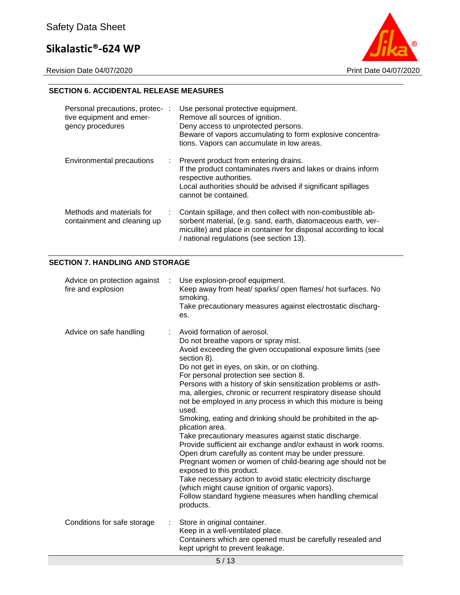Revision Date 04/07/2020 **Print Date 04/07/2020** 



#### **SECTION 6. ACCIDENTAL RELEASE MEASURES**

| Personal precautions, protec- :<br>tive equipment and emer-<br>gency procedures | Use personal protective equipment.<br>Remove all sources of ignition.<br>Deny access to unprotected persons.<br>Beware of vapors accumulating to form explosive concentra-<br>tions. Vapors can accumulate in low areas.                     |
|---------------------------------------------------------------------------------|----------------------------------------------------------------------------------------------------------------------------------------------------------------------------------------------------------------------------------------------|
| Environmental precautions                                                       | : Prevent product from entering drains.<br>If the product contaminates rivers and lakes or drains inform<br>respective authorities.<br>Local authorities should be advised if significant spillages<br>cannot be contained.                  |
| Methods and materials for<br>containment and cleaning up                        | Contain spillage, and then collect with non-combustible ab-<br>sorbent material, (e.g. sand, earth, diatomaceous earth, ver-<br>miculite) and place in container for disposal according to local<br>/ national regulations (see section 13). |

#### **SECTION 7. HANDLING AND STORAGE**

| Advice on protection against<br>fire and explosion | Use explosion-proof equipment.<br>Keep away from heat/ sparks/ open flames/ hot surfaces. No<br>smoking.<br>Take precautionary measures against electrostatic discharg-<br>es.                                                                                                                                                                                                                                                                                                                                                                                                                                                                                                                                                                                                                                                                                                                                                                                                                                      |
|----------------------------------------------------|---------------------------------------------------------------------------------------------------------------------------------------------------------------------------------------------------------------------------------------------------------------------------------------------------------------------------------------------------------------------------------------------------------------------------------------------------------------------------------------------------------------------------------------------------------------------------------------------------------------------------------------------------------------------------------------------------------------------------------------------------------------------------------------------------------------------------------------------------------------------------------------------------------------------------------------------------------------------------------------------------------------------|
| Advice on safe handling                            | Avoid formation of aerosol.<br>Do not breathe vapors or spray mist.<br>Avoid exceeding the given occupational exposure limits (see<br>section 8).<br>Do not get in eyes, on skin, or on clothing.<br>For personal protection see section 8.<br>Persons with a history of skin sensitization problems or asth-<br>ma, allergies, chronic or recurrent respiratory disease should<br>not be employed in any process in which this mixture is being<br>used.<br>Smoking, eating and drinking should be prohibited in the ap-<br>plication area.<br>Take precautionary measures against static discharge.<br>Provide sufficient air exchange and/or exhaust in work rooms.<br>Open drum carefully as content may be under pressure.<br>Pregnant women or women of child-bearing age should not be<br>exposed to this product.<br>Take necessary action to avoid static electricity discharge<br>(which might cause ignition of organic vapors).<br>Follow standard hygiene measures when handling chemical<br>products. |
| Conditions for safe storage                        | Store in original container.<br>Keep in a well-ventilated place.<br>Containers which are opened must be carefully resealed and<br>kept upright to prevent leakage.                                                                                                                                                                                                                                                                                                                                                                                                                                                                                                                                                                                                                                                                                                                                                                                                                                                  |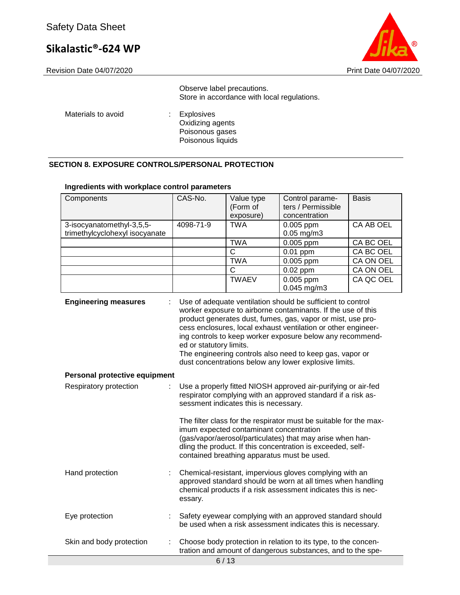

Revision Date 04/07/2020 **Print Date 04/07/2020** 

Observe label precautions. Store in accordance with local regulations.

Materials to avoid : Explosives

Oxidizing agents Poisonous gases Poisonous liquids

#### **SECTION 8. EXPOSURE CONTROLS/PERSONAL PROTECTION**

#### **Ingredients with workplace control parameters**

| Components                     | CAS-No.                 | Value type                                                                             | Control parame-                                                                                                                                                                                                                                                                                                                                                                                                                               | <b>Basis</b>     |
|--------------------------------|-------------------------|----------------------------------------------------------------------------------------|-----------------------------------------------------------------------------------------------------------------------------------------------------------------------------------------------------------------------------------------------------------------------------------------------------------------------------------------------------------------------------------------------------------------------------------------------|------------------|
|                                |                         | (Form of                                                                               | ters / Permissible                                                                                                                                                                                                                                                                                                                                                                                                                            |                  |
|                                |                         | exposure)                                                                              | concentration                                                                                                                                                                                                                                                                                                                                                                                                                                 |                  |
| 3-isocyanatomethyl-3,5,5-      | 4098-71-9               | <b>TWA</b>                                                                             | 0.005 ppm                                                                                                                                                                                                                                                                                                                                                                                                                                     | CA AB OEL        |
| trimethylcyclohexyl isocyanate |                         |                                                                                        | $0.05$ mg/m $3$                                                                                                                                                                                                                                                                                                                                                                                                                               |                  |
|                                |                         | <b>TWA</b>                                                                             | $0.005$ ppm                                                                                                                                                                                                                                                                                                                                                                                                                                   | <b>CA BC OEL</b> |
|                                |                         | $\overline{C}$                                                                         | $0.01$ ppm                                                                                                                                                                                                                                                                                                                                                                                                                                    | CA BC OEL        |
|                                |                         | <b>TWA</b>                                                                             | $0.005$ ppm                                                                                                                                                                                                                                                                                                                                                                                                                                   | CA ON OEL        |
|                                |                         | C                                                                                      | $0.02$ ppm                                                                                                                                                                                                                                                                                                                                                                                                                                    | CA ON OEL        |
|                                |                         | <b>TWAEV</b>                                                                           | 0.005 ppm                                                                                                                                                                                                                                                                                                                                                                                                                                     | CA QC OEL        |
|                                |                         |                                                                                        | $0.045$ mg/m3                                                                                                                                                                                                                                                                                                                                                                                                                                 |                  |
| <b>Engineering measures</b>    | ed or statutory limits. |                                                                                        | Use of adequate ventilation should be sufficient to control<br>worker exposure to airborne contaminants. If the use of this<br>product generates dust, fumes, gas, vapor or mist, use pro-<br>cess enclosures, local exhaust ventilation or other engineer-<br>ing controls to keep worker exposure below any recommend-<br>The engineering controls also need to keep gas, vapor or<br>dust concentrations below any lower explosive limits. |                  |
| Personal protective equipment  |                         |                                                                                        |                                                                                                                                                                                                                                                                                                                                                                                                                                               |                  |
| Respiratory protection<br>÷    |                         | sessment indicates this is necessary.                                                  | Use a properly fitted NIOSH approved air-purifying or air-fed<br>respirator complying with an approved standard if a risk as-                                                                                                                                                                                                                                                                                                                 |                  |
|                                |                         | imum expected contaminant concentration<br>contained breathing apparatus must be used. | The filter class for the respirator must be suitable for the max-<br>(gas/vapor/aerosol/particulates) that may arise when han-<br>dling the product. If this concentration is exceeded, self-                                                                                                                                                                                                                                                 |                  |
| Hand protection                | essary.                 |                                                                                        | Chemical-resistant, impervious gloves complying with an<br>approved standard should be worn at all times when handling<br>chemical products if a risk assessment indicates this is nec-                                                                                                                                                                                                                                                       |                  |
| Eye protection                 |                         |                                                                                        | Safety eyewear complying with an approved standard should<br>be used when a risk assessment indicates this is necessary.                                                                                                                                                                                                                                                                                                                      |                  |
| Skin and body protection<br>÷  |                         |                                                                                        | Choose body protection in relation to its type, to the concen-<br>tration and amount of dangerous substances, and to the spe-                                                                                                                                                                                                                                                                                                                 |                  |
| 6/13                           |                         |                                                                                        |                                                                                                                                                                                                                                                                                                                                                                                                                                               |                  |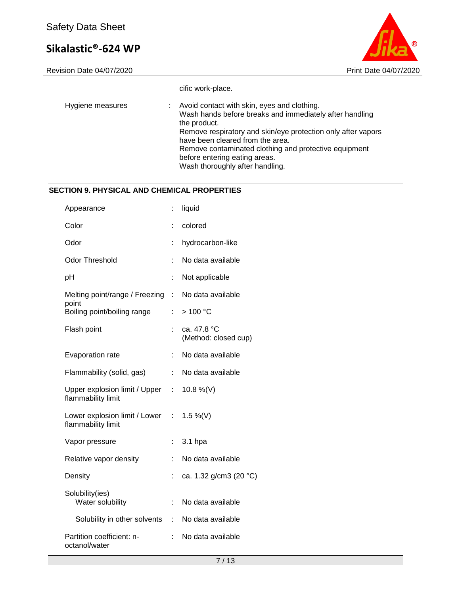

|                  | cific work-place.                                                                                                                                                                                                                                                                                                                                       |
|------------------|---------------------------------------------------------------------------------------------------------------------------------------------------------------------------------------------------------------------------------------------------------------------------------------------------------------------------------------------------------|
| Hygiene measures | Avoid contact with skin, eyes and clothing.<br>Wash hands before breaks and immediately after handling<br>the product.<br>Remove respiratory and skin/eye protection only after vapors<br>have been cleared from the area.<br>Remove contaminated clothing and protective equipment<br>before entering eating areas.<br>Wash thoroughly after handling. |

#### **SECTION 9. PHYSICAL AND CHEMICAL PROPERTIES**

| Appearance                                            | t.                          | liquid                              |
|-------------------------------------------------------|-----------------------------|-------------------------------------|
| Color                                                 |                             | colored                             |
| Odor                                                  | t.                          | hydrocarbon-like                    |
| <b>Odor Threshold</b>                                 | t.                          | No data available                   |
| pH                                                    | ÷                           | Not applicable                      |
| Melting point/range / Freezing                        | ÷                           | No data available                   |
| point<br>Boiling point/boiling range                  | ř.                          | >100 °C                             |
| Flash point                                           | ł,                          | ca. 47.8 °C<br>(Method: closed cup) |
| Evaporation rate                                      | ÷                           | No data available                   |
| Flammability (solid, gas)                             | ÷.                          | No data available                   |
| Upper explosion limit / Upper<br>flammability limit   | $\mathbb{Z}^{\mathbb{Z}^n}$ | 10.8 %(V)                           |
| Lower explosion limit / Lower :<br>flammability limit |                             | 1.5 %(V)                            |
| Vapor pressure                                        | ŕ.                          | 3.1 hpa                             |
| Relative vapor density                                | t.                          | No data available                   |
| Density                                               | t.                          | ca. 1.32 g/cm3 (20 °C)              |
| Solubility(ies)<br>Water solubility                   | t.                          | No data available                   |
| Solubility in other solvents                          | t.                          | No data available                   |
| Partition coefficient: n-<br>octanol/water            |                             | No data available                   |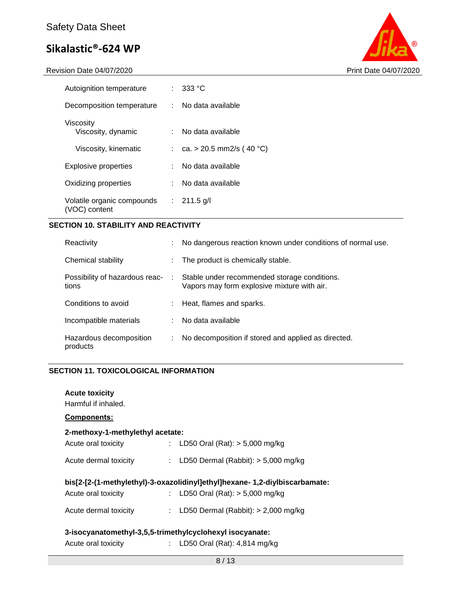Revision Date 04/07/2020 **Print Date 04/07/2020** 



| Autoignition temperature                    | ÷. | 333 °C                     |
|---------------------------------------------|----|----------------------------|
| Decomposition temperature                   |    | : No data available        |
| Viscositv<br>Viscosity, dynamic             | t. | No data available          |
| Viscosity, kinematic                        |    | : ca. > 20.5 mm2/s (40 °C) |
| <b>Explosive properties</b>                 |    | No data available          |
| Oxidizing properties                        | t. | No data available          |
| Volatile organic compounds<br>(VOC) content | ÷. | $211.5$ g/l                |

#### **SECTION 10. STABILITY AND REACTIVITY**

| Reactivity                              |   | No dangerous reaction known under conditions of normal use.                                 |
|-----------------------------------------|---|---------------------------------------------------------------------------------------------|
| Chemical stability                      |   | The product is chemically stable.                                                           |
| Possibility of hazardous reac-<br>tions | ÷ | Stable under recommended storage conditions.<br>Vapors may form explosive mixture with air. |
| Conditions to avoid                     |   | Heat, flames and sparks.                                                                    |
| Incompatible materials                  |   | No data available                                                                           |
| Hazardous decomposition<br>products     | ÷ | No decomposition if stored and applied as directed.                                         |

#### **SECTION 11. TOXICOLOGICAL INFORMATION**

| <b>Acute toxicity</b><br>Harmful if inhaled.                               |  |                                         |  |
|----------------------------------------------------------------------------|--|-----------------------------------------|--|
| <b>Components:</b>                                                         |  |                                         |  |
| 2-methoxy-1-methylethyl acetate:                                           |  |                                         |  |
| Acute oral toxicity                                                        |  | : LD50 Oral (Rat): $> 5,000$ mg/kg      |  |
| Acute dermal toxicity                                                      |  | : LD50 Dermal (Rabbit): $>$ 5,000 mg/kg |  |
| bis[2-[2-(1-methylethyl)-3-oxazolidinyl]ethyl]hexane-1,2-diylbiscarbamate: |  |                                         |  |
| Acute oral toxicity                                                        |  | : LD50 Oral (Rat): $>$ 5,000 mg/kg      |  |
|                                                                            |  |                                         |  |
| Acute dermal toxicity                                                      |  | : LD50 Dermal (Rabbit): $>$ 2,000 mg/kg |  |
| 3-isocyanatomethyl-3,5,5-trimethylcyclohexyl isocyanate:                   |  |                                         |  |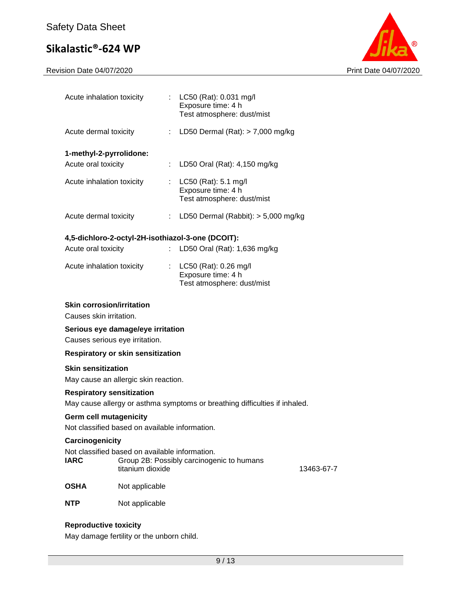Revision Date 04/07/2020 **Print Date 04/07/2020** 



| Acute inhalation toxicity                                                       |                  |    | : LC50 (Rat): 0.031 mg/l<br>Exposure time: 4 h<br>Test atmosphere: dust/mist |            |
|---------------------------------------------------------------------------------|------------------|----|------------------------------------------------------------------------------|------------|
| Acute dermal toxicity                                                           |                  | t. | LD50 Dermal $(Rat):$ > 7,000 mg/kg                                           |            |
| 1-methyl-2-pyrrolidone:                                                         |                  |    |                                                                              |            |
| Acute oral toxicity                                                             |                  |    | LD50 Oral (Rat): 4,150 mg/kg                                                 |            |
| Acute inhalation toxicity                                                       |                  | t. | LC50 (Rat): 5.1 mg/l<br>Exposure time: 4 h<br>Test atmosphere: dust/mist     |            |
| Acute dermal toxicity                                                           |                  |    | : LD50 Dermal (Rabbit): $> 5,000$ mg/kg                                      |            |
|                                                                                 |                  |    | 4,5-dichloro-2-octyl-2H-isothiazol-3-one (DCOIT):                            |            |
| Acute oral toxicity                                                             |                  |    | LD50 Oral (Rat): 1,636 mg/kg                                                 |            |
|                                                                                 |                  |    |                                                                              |            |
| Acute inhalation toxicity                                                       |                  |    | LC50 (Rat): 0.26 mg/l<br>Exposure time: 4 h                                  |            |
|                                                                                 |                  |    | Test atmosphere: dust/mist                                                   |            |
| <b>Skin corrosion/irritation</b>                                                |                  |    |                                                                              |            |
| Causes skin irritation.                                                         |                  |    |                                                                              |            |
| Serious eye damage/eye irritation                                               |                  |    |                                                                              |            |
| Causes serious eye irritation.                                                  |                  |    |                                                                              |            |
| <b>Respiratory or skin sensitization</b>                                        |                  |    |                                                                              |            |
| <b>Skin sensitization</b>                                                       |                  |    |                                                                              |            |
| May cause an allergic skin reaction.                                            |                  |    |                                                                              |            |
| <b>Respiratory sensitization</b>                                                |                  |    |                                                                              |            |
| May cause allergy or asthma symptoms or breathing difficulties if inhaled.      |                  |    |                                                                              |            |
| <b>Germ cell mutagenicity</b><br>Not classified based on available information. |                  |    |                                                                              |            |
| Carcinogenicity                                                                 |                  |    |                                                                              |            |
| Not classified based on available information.                                  |                  |    |                                                                              |            |
| <b>IARC</b>                                                                     | titanium dioxide |    | Group 2B: Possibly carcinogenic to humans                                    | 13463-67-7 |
| <b>OSHA</b>                                                                     | Not applicable   |    |                                                                              |            |
| NTP                                                                             | Not applicable   |    |                                                                              |            |
|                                                                                 |                  |    |                                                                              |            |

#### **Reproductive toxicity**

May damage fertility or the unborn child.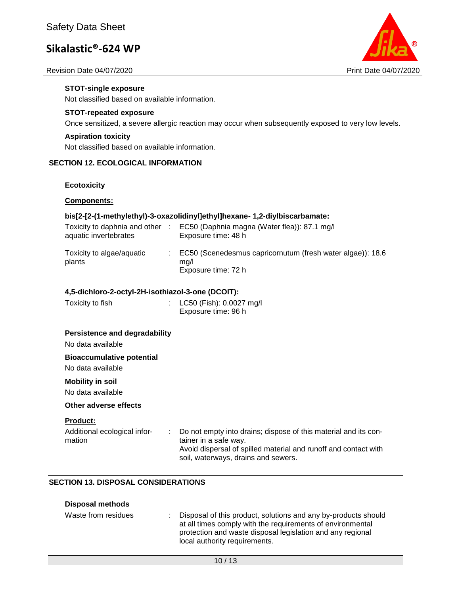#### Revision Date 04/07/2020 Print Date 04/07/2020



#### **STOT-single exposure**

Not classified based on available information.

#### **STOT-repeated exposure**

Once sensitized, a severe allergic reaction may occur when subsequently exposed to very low levels.

#### **Aspiration toxicity**

Not classified based on available information.

#### **SECTION 12. ECOLOGICAL INFORMATION**

#### **Ecotoxicity**

#### **Components:**

#### **bis[2-[2-(1-methylethyl)-3-oxazolidinyl]ethyl]hexane- 1,2-diylbiscarbamate:**

| Toxicity to daphnia and other<br>aquatic invertebrates | EC50 (Daphnia magna (Water flea)): 87.1 mg/l<br>Exposure time: 48 h                             |
|--------------------------------------------------------|-------------------------------------------------------------------------------------------------|
| Toxicity to algae/aquatic<br>plants                    | $\pm$ EC50 (Scenedesmus capricornutum (fresh water algae)): 18.6<br>ma/l<br>Exposure time: 72 h |

#### **4,5-dichloro-2-octyl-2H-isothiazol-3-one (DCOIT):**

| Toxicity to fish | : LC50 (Fish): 0.0027 mg/l |
|------------------|----------------------------|
|                  | Exposure time: 96 h        |

#### **Persistence and degradability**

No data available

#### **Bioaccumulative potential**

No data available

#### **Mobility in soil**

No data available

#### **Other adverse effects**

#### **Product:**

Additional ecological information : Do not empty into drains; dispose of this material and its container in a safe way. Avoid dispersal of spilled material and runoff and contact with soil, waterways, drains and sewers.

#### **SECTION 13. DISPOSAL CONSIDERATIONS**

#### **Disposal methods**

| Waste from residues | : Disposal of this product, solutions and any by-products should<br>at all times comply with the requirements of environmental<br>protection and waste disposal legislation and any regional<br>local authority requirements. |
|---------------------|-------------------------------------------------------------------------------------------------------------------------------------------------------------------------------------------------------------------------------|
|---------------------|-------------------------------------------------------------------------------------------------------------------------------------------------------------------------------------------------------------------------------|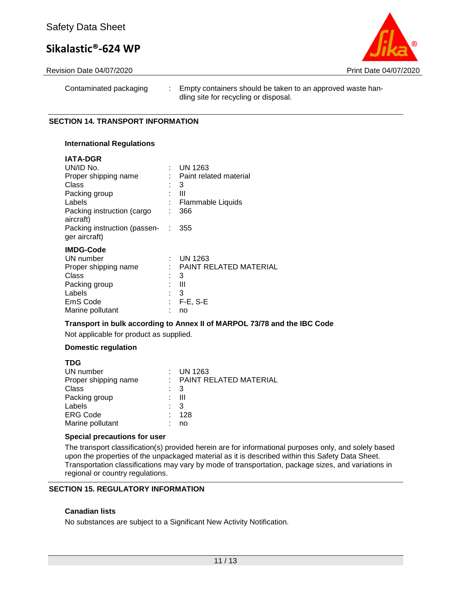

Revision Date 04/07/2020 Print Date 04/07/2020

Contaminated packaging : Empty containers should be taken to an approved waste handling site for recycling or disposal.

#### **SECTION 14. TRANSPORT INFORMATION**

#### **International Regulations**

#### **IATA-DGR**

| UN/ID No.                                     |   | <b>UN 1263</b>         |
|-----------------------------------------------|---|------------------------|
| Proper shipping name                          |   | Paint related material |
| Class                                         |   | 3                      |
| Packing group                                 |   | Ш                      |
| Labels                                        |   | Flammable Liquids      |
| Packing instruction (cargo<br>aircraft)       |   | 366                    |
| Packing instruction (passen-<br>ger aircraft) | ÷ | 355                    |
| <b>IMDG-Code</b>                              |   |                        |
| UN number                                     | ٠ | <b>UN 1263</b>         |
| Proper shipping name                          |   | PAINT RELATED MATERIAL |
| Class                                         |   | 3                      |
| Packing group                                 |   | Ш                      |
| Labels                                        |   | 3                      |
| EmS Code                                      |   | $F-E$ , S-E            |
| Marine pollutant                              |   | no                     |

#### **Transport in bulk according to Annex II of MARPOL 73/78 and the IBC Code**

Not applicable for product as supplied.

#### **Domestic regulation**

**TDG** 

| I DG                 |   |                          |
|----------------------|---|--------------------------|
| UN number            |   | $:$ UN 1263              |
| Proper shipping name |   | : PAINT RELATED MATERIAL |
| Class                |   | $\therefore$ 3           |
| Packing group        |   | : III                    |
| Labels               |   | - 3                      |
| <b>ERG Code</b>      | ÷ | 128                      |
| Marine pollutant     |   | no                       |
|                      |   |                          |

#### **Special precautions for user**

The transport classification(s) provided herein are for informational purposes only, and solely based upon the properties of the unpackaged material as it is described within this Safety Data Sheet. Transportation classifications may vary by mode of transportation, package sizes, and variations in regional or country regulations.

#### **SECTION 15. REGULATORY INFORMATION**

#### **Canadian lists**

No substances are subject to a Significant New Activity Notification.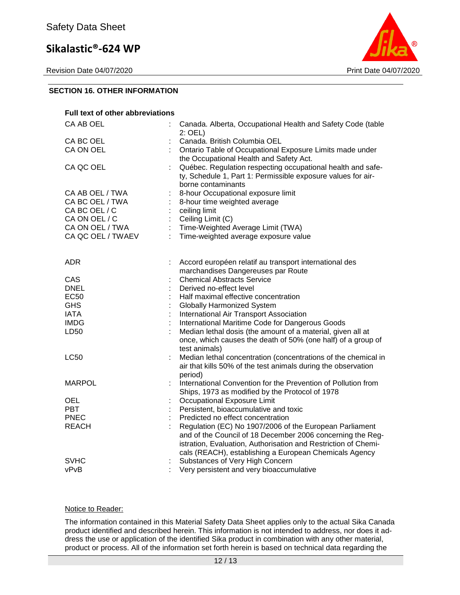Revision Date 04/07/2020 Print Date 04/07/2020



#### **SECTION 16. OTHER INFORMATION**

| <b>Full text of other abbreviations</b> |   |                                                                                                                                                                                        |
|-----------------------------------------|---|----------------------------------------------------------------------------------------------------------------------------------------------------------------------------------------|
| CA AB OEL                               |   | Canada. Alberta, Occupational Health and Safety Code (table<br>$2:$ OEL)                                                                                                               |
| CA BC OEL                               |   | Canada. British Columbia OEL                                                                                                                                                           |
| CA ON OEL                               |   | Ontario Table of Occupational Exposure Limits made under<br>the Occupational Health and Safety Act.                                                                                    |
| CA QC OEL                               |   | Québec. Regulation respecting occupational health and safe-<br>ty, Schedule 1, Part 1: Permissible exposure values for air-<br>borne contaminants                                      |
| CA AB OEL / TWA                         |   | 8-hour Occupational exposure limit                                                                                                                                                     |
| CA BC OEL / TWA                         |   | 8-hour time weighted average                                                                                                                                                           |
| CA BC OEL / C                           |   | ceiling limit                                                                                                                                                                          |
| CA ON OEL / C                           |   | Ceiling Limit (C)                                                                                                                                                                      |
| CA ON OEL / TWA                         |   | Time-Weighted Average Limit (TWA)                                                                                                                                                      |
| CA QC OEL / TWAEV                       | ÷ | Time-weighted average exposure value                                                                                                                                                   |
|                                         |   |                                                                                                                                                                                        |
| ADR.                                    |   | Accord européen relatif au transport international des                                                                                                                                 |
|                                         |   | marchandises Dangereuses par Route                                                                                                                                                     |
| CAS                                     |   | <b>Chemical Abstracts Service</b>                                                                                                                                                      |
| <b>DNEL</b>                             |   | Derived no-effect level                                                                                                                                                                |
| EC <sub>50</sub>                        |   | Half maximal effective concentration                                                                                                                                                   |
| <b>GHS</b>                              |   | <b>Globally Harmonized System</b>                                                                                                                                                      |
| <b>IATA</b>                             |   | International Air Transport Association                                                                                                                                                |
| <b>IMDG</b>                             |   | International Maritime Code for Dangerous Goods                                                                                                                                        |
| LD50                                    |   | Median lethal dosis (the amount of a material, given all at<br>once, which causes the death of 50% (one half) of a group of<br>test animals)                                           |
| <b>LC50</b>                             |   | Median lethal concentration (concentrations of the chemical in<br>air that kills 50% of the test animals during the observation<br>period)                                             |
| <b>MARPOL</b>                           |   | International Convention for the Prevention of Pollution from<br>Ships, 1973 as modified by the Protocol of 1978                                                                       |
| OEL                                     |   | Occupational Exposure Limit                                                                                                                                                            |
| <b>PBT</b>                              |   | Persistent, bioaccumulative and toxic                                                                                                                                                  |
| <b>PNEC</b>                             |   | Predicted no effect concentration                                                                                                                                                      |
| <b>REACH</b>                            |   | Regulation (EC) No 1907/2006 of the European Parliament                                                                                                                                |
|                                         |   | and of the Council of 18 December 2006 concerning the Reg-<br>istration, Evaluation, Authorisation and Restriction of Chemi-<br>cals (REACH), establishing a European Chemicals Agency |
| <b>SVHC</b>                             |   | Substances of Very High Concern                                                                                                                                                        |
| vPvB                                    |   | Very persistent and very bioaccumulative                                                                                                                                               |
|                                         |   |                                                                                                                                                                                        |

#### Notice to Reader:

The information contained in this Material Safety Data Sheet applies only to the actual Sika Canada product identified and described herein. This information is not intended to address, nor does it address the use or application of the identified Sika product in combination with any other material, product or process. All of the information set forth herein is based on technical data regarding the